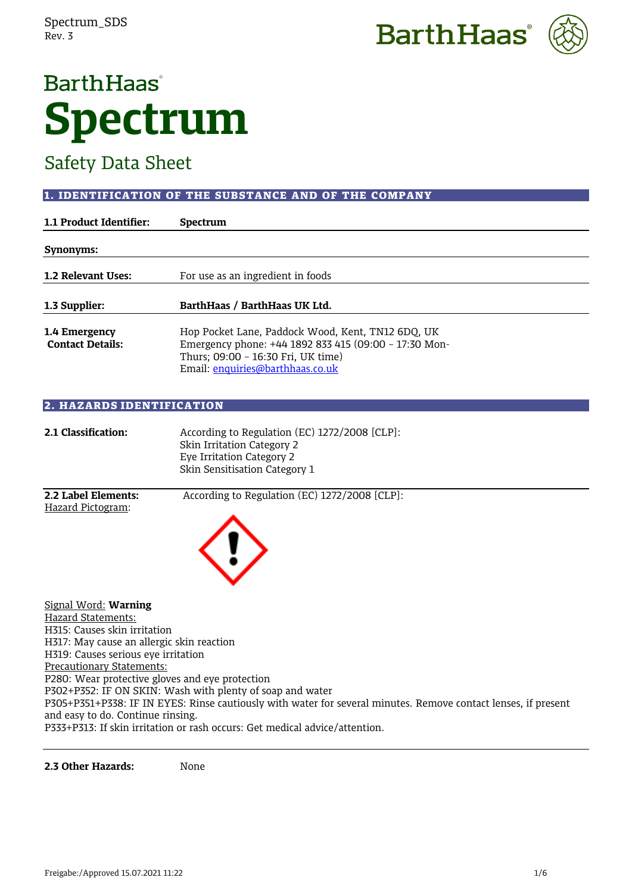



# Safety Data Sheet

# 1. IDENTIFICATION OF THE SUBSTANCE AND OF THE COMPANY

| 1.1 Product Identifier:                  | <b>Spectrum</b>                                                                                                                                                                      |
|------------------------------------------|--------------------------------------------------------------------------------------------------------------------------------------------------------------------------------------|
| Synonyms:                                |                                                                                                                                                                                      |
| 1.2 Relevant Uses:                       | For use as an ingredient in foods                                                                                                                                                    |
| 1.3 Supplier:                            | BarthHaas / BarthHaas UK Ltd.                                                                                                                                                        |
| 1.4 Emergency<br><b>Contact Details:</b> | Hop Pocket Lane, Paddock Wood, Kent, TN12 6DQ, UK<br>Emergency phone: +44 1892 833 415 (09:00 - 17:30 Mon-<br>Thurs; 09:00 - 16:30 Fri, UK time)<br>Email: enquiries@barthhaas.co.uk |

## 2. HAZARDS IDENTIFICATION

| 2.1 Classification:                                                         | According to Regulation (EC) 1272/2008 [CLP]:<br>Skin Irritation Category 2<br>Eye Irritation Category 2<br>Skin Sensitisation Category 1 |
|-----------------------------------------------------------------------------|-------------------------------------------------------------------------------------------------------------------------------------------|
| 2.2 Label Elements:<br>Hazard Pictogram:                                    | According to Regulation (EC) 1272/2008 [CLP]:                                                                                             |
|                                                                             |                                                                                                                                           |
| Signal Word: Warning                                                        |                                                                                                                                           |
| Hazard Statements:                                                          |                                                                                                                                           |
| H315: Causes skin irritation                                                |                                                                                                                                           |
| H317: May cause an allergic skin reaction                                   |                                                                                                                                           |
| H319: Causes serious eye irritation                                         |                                                                                                                                           |
| <b>Precautionary Statements:</b>                                            |                                                                                                                                           |
| P280: Wear protective gloves and eye protection                             |                                                                                                                                           |
|                                                                             | P302+P352: IF ON SKIN: Wash with plenty of soap and water                                                                                 |
|                                                                             | P305+P351+P338: IF IN EYES: Rinse cautiously with water for several minutes. Remove contact lenses, if present                            |
| and easy to do. Continue rinsing.                                           |                                                                                                                                           |
| P333+P313: If skin irritation or rash occurs: Get medical advice/attention. |                                                                                                                                           |

**2.3 Other Hazards:** None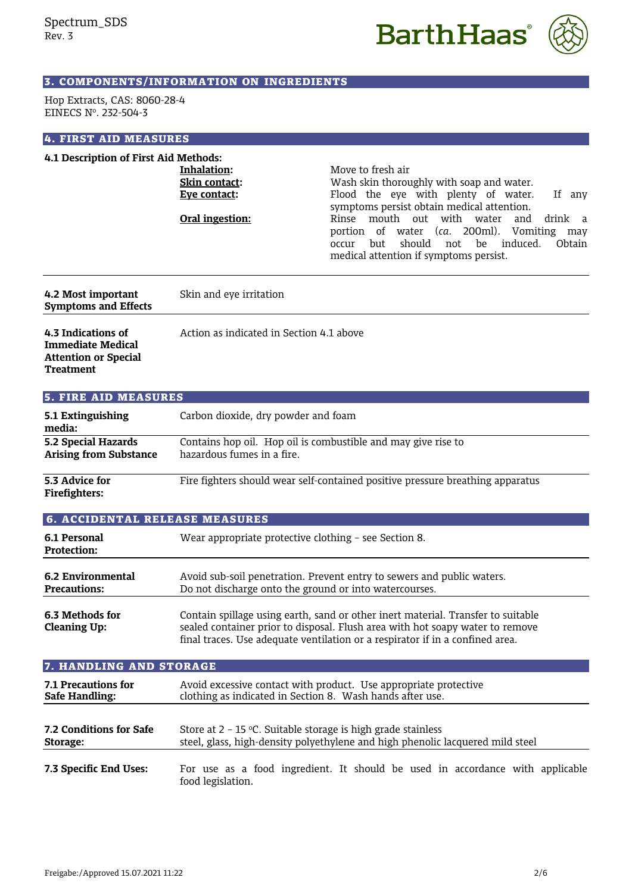



# 3. COMPONENTS/INFORMATION ON INGREDIENTS

Hop Extracts, CAS: 8060-28-4 EINECS Nº. 232-504-3

#### 4. FIRST AID MEASURES

| 4.1 Description of First Aid Methods:                                                             |                                                                 |                                                                                                                                                                                                                                                                                                                                                                          |
|---------------------------------------------------------------------------------------------------|-----------------------------------------------------------------|--------------------------------------------------------------------------------------------------------------------------------------------------------------------------------------------------------------------------------------------------------------------------------------------------------------------------------------------------------------------------|
|                                                                                                   | Inhalation:<br>Skin contact:<br>Eye contact:<br>Oral ingestion: | Move to fresh air<br>Wash skin thoroughly with soap and water.<br>Flood the eye with plenty of water.<br>If any<br>symptoms persist obtain medical attention.<br>Rinse mouth out<br>with water<br>and<br>drink a<br>portion of water (ca. 200ml).<br>Vomiting may<br>should<br>induced.<br>but<br>be<br>Obtain<br>occur<br>not<br>medical attention if symptoms persist. |
| 4.2 Most important<br><b>Symptoms and Effects</b>                                                 | Skin and eye irritation                                         |                                                                                                                                                                                                                                                                                                                                                                          |
| 4.3 Indications of<br><b>Immediate Medical</b><br><b>Attention or Special</b><br><b>Treatment</b> | Action as indicated in Section 4.1 above                        |                                                                                                                                                                                                                                                                                                                                                                          |
| <b>5. FIRE AID MEASURES</b>                                                                       |                                                                 |                                                                                                                                                                                                                                                                                                                                                                          |
| 5.1 Extinguishing<br>media:                                                                       | Carbon dioxide, dry powder and foam                             |                                                                                                                                                                                                                                                                                                                                                                          |
| 5.2 Special Hazards<br><b>Arising from Substance</b>                                              | hazardous fumes in a fire.                                      | Contains hop oil. Hop oil is combustible and may give rise to                                                                                                                                                                                                                                                                                                            |
| 5.3 Advice for<br><b>Firefighters:</b>                                                            |                                                                 | Fire fighters should wear self-contained positive pressure breathing apparatus                                                                                                                                                                                                                                                                                           |
| <b>6. ACCIDENTAL RELEASE MEASURES</b>                                                             |                                                                 |                                                                                                                                                                                                                                                                                                                                                                          |
| 6.1 Personal<br><b>Protection:</b>                                                                | Wear appropriate protective clothing - see Section 8.           |                                                                                                                                                                                                                                                                                                                                                                          |
| <b>6.2 Environmental</b><br><b>Precautions:</b>                                                   | Do not discharge onto the ground or into watercourses.          | Avoid sub-soil penetration. Prevent entry to sewers and public waters.                                                                                                                                                                                                                                                                                                   |
| 6.3 Methods for<br><b>Cleaning Up:</b>                                                            |                                                                 | Contain spillage using earth, sand or other inert material. Transfer to suitable<br>sealed container prior to disposal. Flush area with hot soapy water to remove<br>final traces. Use adequate ventilation or a respirator if in a confined area.                                                                                                                       |
| 7. HANDLING AND STORAGE                                                                           |                                                                 |                                                                                                                                                                                                                                                                                                                                                                          |
| 7.1 Precautions for<br><b>Safe Handling:</b>                                                      | clothing as indicated in Section 8. Wash hands after use.       | Avoid excessive contact with product. Use appropriate protective                                                                                                                                                                                                                                                                                                         |
| 7.2 Conditions for Safe<br>Storage:                                                               | Store at $2 - 15$ °C. Suitable storage is high grade stainless  | steel, glass, high-density polyethylene and high phenolic lacquered mild steel                                                                                                                                                                                                                                                                                           |
| 7.3 Specific End Uses:                                                                            |                                                                 | For use as a food ingredient. It should be used in accordance with applicable                                                                                                                                                                                                                                                                                            |

food legislation.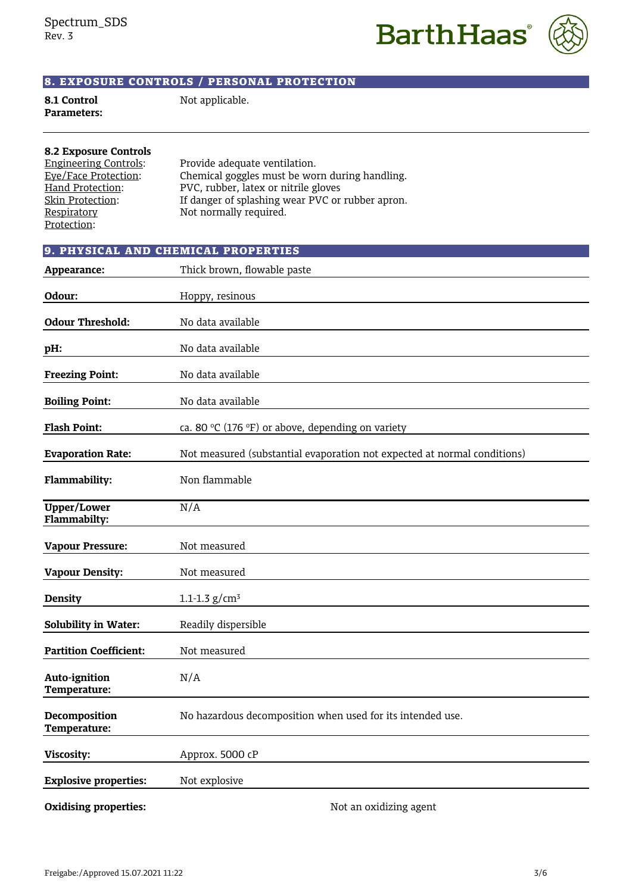**BarthHaas**<sup>®</sup>



# 8. EXPOSURE CONTROLS / PERSONAL PROTECTION

**8.1 Control** Not applicable.

| <b>Parameters:</b> |  |
|--------------------|--|
|                    |  |

| <b>8.2 Exposure Controls</b> |                                                  |
|------------------------------|--------------------------------------------------|
| <b>Engineering Controls:</b> | Provide adequate ventilation.                    |
| Eye/Face Protection:         | Chemical goggles must be worn during handling.   |
| Hand Protection:             | PVC, rubber, latex or nitrile gloves             |
| Skin Protection:             | If danger of splashing wear PVC or rubber apron. |
| Respiratory                  | Not normally required.                           |
| Protection:                  |                                                  |

|                                    | 9. PHYSICAL AND CHEMICAL PROPERTIES                                      |
|------------------------------------|--------------------------------------------------------------------------|
| Appearance:                        | Thick brown, flowable paste                                              |
| Odour:                             | Hoppy, resinous                                                          |
| <b>Odour Threshold:</b>            | No data available                                                        |
| pH:                                | No data available                                                        |
| <b>Freezing Point:</b>             | No data available                                                        |
| <b>Boiling Point:</b>              | No data available                                                        |
| <b>Flash Point:</b>                | ca. 80 °C (176 °F) or above, depending on variety                        |
| <b>Evaporation Rate:</b>           | Not measured (substantial evaporation not expected at normal conditions) |
| Flammability:                      | Non flammable                                                            |
| <b>Upper/Lower</b><br>Flammabilty: | N/A                                                                      |
| <b>Vapour Pressure:</b>            | Not measured                                                             |
| <b>Vapour Density:</b>             | Not measured                                                             |
| <b>Density</b>                     | $1.1 - 1.3$ g/cm <sup>3</sup>                                            |
| Solubility in Water:               | Readily dispersible                                                      |
| <b>Partition Coefficient:</b>      | Not measured                                                             |
| Auto-ignition<br>Temperature:      | N/A                                                                      |
| Decomposition<br>Temperature:      | No hazardous decomposition when used for its intended use.               |
| Viscosity:                         | Approx. 5000 cP                                                          |
| <b>Explosive properties:</b>       | Not explosive                                                            |
|                                    |                                                                          |

**Oxidising properties:** Not an oxidizing agent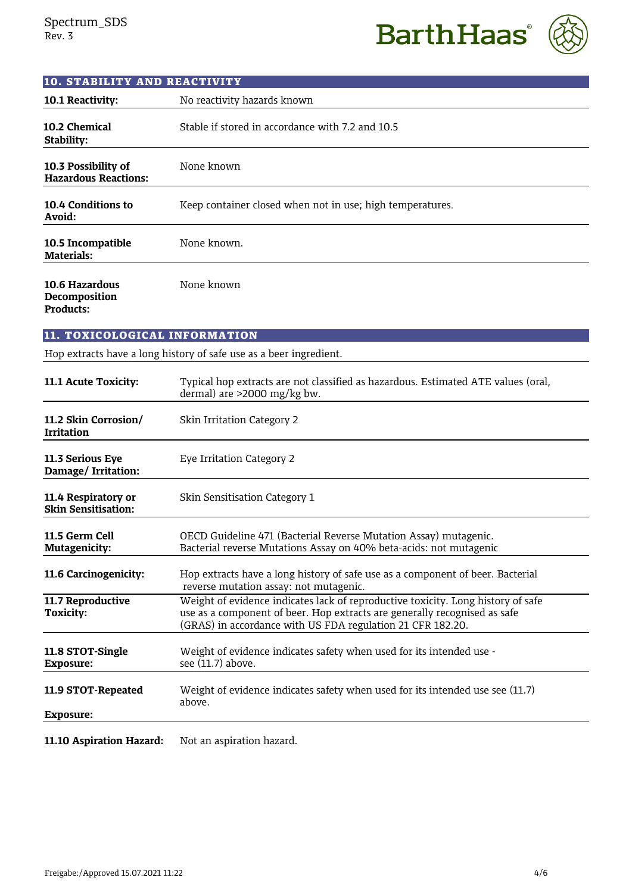**BarthHaas**®



| <b>10. STABILITY AND REACTIVITY</b>                 |                                                                                                                                                                                                                             |
|-----------------------------------------------------|-----------------------------------------------------------------------------------------------------------------------------------------------------------------------------------------------------------------------------|
| 10.1 Reactivity:                                    | No reactivity hazards known                                                                                                                                                                                                 |
| 10.2 Chemical<br>Stability:                         | Stable if stored in accordance with 7.2 and 10.5                                                                                                                                                                            |
| 10.3 Possibility of<br><b>Hazardous Reactions:</b>  | None known                                                                                                                                                                                                                  |
| 10.4 Conditions to<br>Avoid:                        | Keep container closed when not in use; high temperatures.                                                                                                                                                                   |
| 10.5 Incompatible<br><b>Materials:</b>              | None known.                                                                                                                                                                                                                 |
| 10.6 Hazardous<br>Decomposition<br><b>Products:</b> | None known                                                                                                                                                                                                                  |
| 11. TOXICOLOGICAL INFORMATION                       |                                                                                                                                                                                                                             |
|                                                     | Hop extracts have a long history of safe use as a beer ingredient.                                                                                                                                                          |
| 11.1 Acute Toxicity:                                | Typical hop extracts are not classified as hazardous. Estimated ATE values (oral,<br>dermal) are >2000 mg/kg bw.                                                                                                            |
| 11.2 Skin Corrosion/<br><b>Irritation</b>           | Skin Irritation Category 2                                                                                                                                                                                                  |
| 11.3 Serious Eye<br>Damage/Irritation:              | Eye Irritation Category 2                                                                                                                                                                                                   |
| 11.4 Respiratory or<br><b>Skin Sensitisation:</b>   | Skin Sensitisation Category 1                                                                                                                                                                                               |
| 11.5 Germ Cell<br>Mutagenicity:                     | OECD Guideline 471 (Bacterial Reverse Mutation Assay) mutagenic.<br>Bacterial reverse Mutations Assay on 40% beta-acids: not mutagenic                                                                                      |
| 11.6 Carcinogenicity:                               | Hop extracts have a long history of safe use as a component of beer. Bacterial<br>reverse mutation assay: not mutagenic.                                                                                                    |
| 11.7 Reproductive<br><b>Toxicity:</b>               | Weight of evidence indicates lack of reproductive toxicity. Long history of safe<br>use as a component of beer. Hop extracts are generally recognised as safe<br>(GRAS) in accordance with US FDA regulation 21 CFR 182.20. |
| 11.8 STOT-Single<br><b>Exposure:</b>                | Weight of evidence indicates safety when used for its intended use -<br>see (11.7) above.                                                                                                                                   |
| 11.9 STOT-Repeated<br><b>Exposure:</b>              | Weight of evidence indicates safety when used for its intended use see (11.7)<br>above.                                                                                                                                     |
|                                                     |                                                                                                                                                                                                                             |

**11.10 Aspiration Hazard:** Not an aspiration hazard.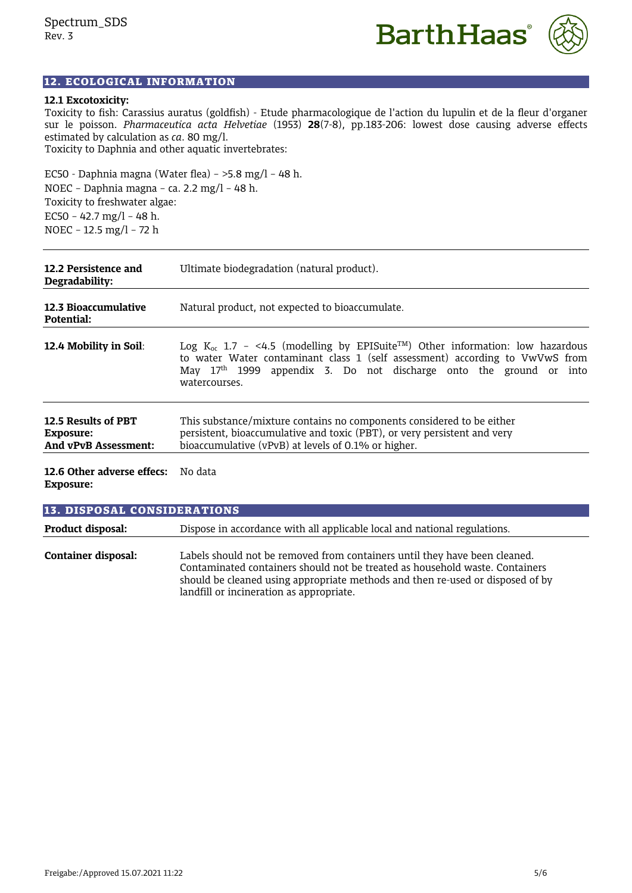

# 12. ECOLOGICAL INFORMATION

#### **12.1 Excotoxicity:**

Toxicity to fish: Carassius auratus (goldfish) - Etude pharmacologique de l'action du lupulin et de la fleur d'organer sur le poisson. *Pharmaceutica acta Helvetiae* (1953) **28**(7-8), pp.183-206: lowest dose causing adverse effects estimated by calculation as *ca*. 80 mg/l. Toxicity to Daphnia and other aquatic invertebrates:

EC50 - Daphnia magna (Water flea) – >5.8 mg/l – 48 h. NOEC – Daphnia magna – ca. 2.2 mg/l – 48 h. Toxicity to freshwater algae: EC50 - 42.7 mg/l - 48 h. NOEC – 12.5 mg/l – 72 h

| 12.2 Persistence and<br>Degradability:                          | Ultimate biodegradation (natural product).                                                                                                                                                                                                                                      |
|-----------------------------------------------------------------|---------------------------------------------------------------------------------------------------------------------------------------------------------------------------------------------------------------------------------------------------------------------------------|
| 12.3 Bioaccumulative<br>Potential:                              | Natural product, not expected to bioaccumulate.                                                                                                                                                                                                                                 |
| <b>12.4 Mobility in Soil:</b>                                   | Log K <sub>oc</sub> 1.7 - <4.5 (modelling by EPISuite <sup>TM</sup> ) Other information: low hazardous<br>to water Water contaminant class 1 (self assessment) according to VwVwS from<br>May $17th$ 1999 appendix 3. Do not discharge onto the ground or into<br>watercourses. |
| 12.5 Results of PBT<br>Exposure:<br><b>And vPvB Assessment:</b> | This substance/mixture contains no components considered to be either<br>persistent, bioaccumulative and toxic (PBT), or very persistent and very<br>bioaccumulative (vPvB) at levels of 0.1% or higher.                                                                        |
| 12.6 Other adverse effecs: No data                              |                                                                                                                                                                                                                                                                                 |

**Exposure:**

| <b>13. DISPOSAL CONSIDERATIONS</b> |                                                                                                                                                                                                                                                                                          |
|------------------------------------|------------------------------------------------------------------------------------------------------------------------------------------------------------------------------------------------------------------------------------------------------------------------------------------|
| Product disposal:                  | Dispose in accordance with all applicable local and national regulations.                                                                                                                                                                                                                |
| Container disposal:                | Labels should not be removed from containers until they have been cleaned.<br>Contaminated containers should not be treated as household waste. Containers<br>should be cleaned using appropriate methods and then re-used or disposed of by<br>landfill or incineration as appropriate. |